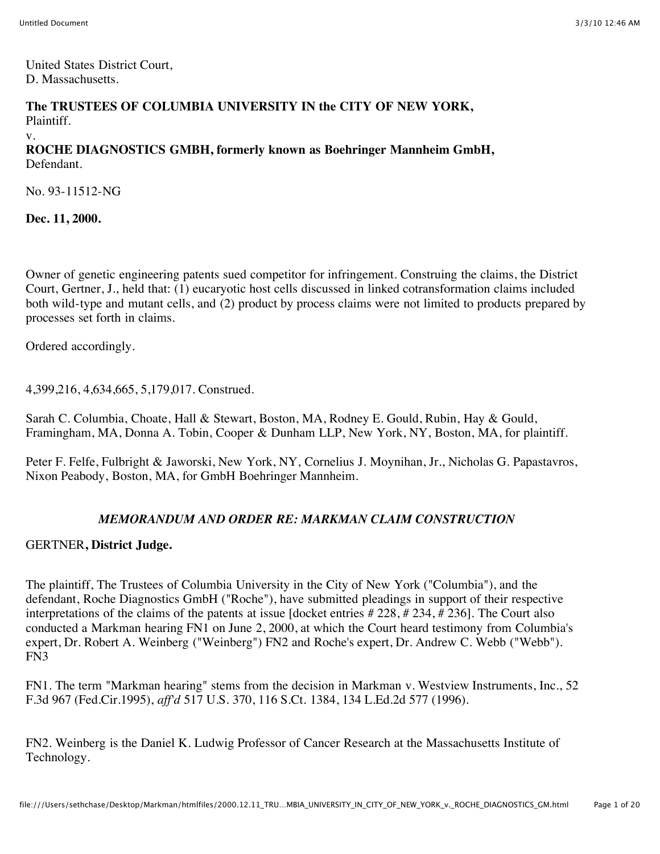United States District Court, D. Massachusetts.

**The TRUSTEES OF COLUMBIA UNIVERSITY IN the CITY OF NEW YORK,** Plaintiff. v.

**ROCHE DIAGNOSTICS GMBH, formerly known as Boehringer Mannheim GmbH,** Defendant.

No. 93-11512-NG

**Dec. 11, 2000.**

Owner of genetic engineering patents sued competitor for infringement. Construing the claims, the District Court, Gertner, J., held that: (1) eucaryotic host cells discussed in linked cotransformation claims included both wild-type and mutant cells, and (2) product by process claims were not limited to products prepared by processes set forth in claims.

Ordered accordingly.

4,399,216, 4,634,665, 5,179,017. Construed.

Sarah C. Columbia, Choate, Hall & Stewart, Boston, MA, Rodney E. Gould, Rubin, Hay & Gould, Framingham, MA, Donna A. Tobin, Cooper & Dunham LLP, New York, NY, Boston, MA, for plaintiff.

Peter F. Felfe, Fulbright & Jaworski, New York, NY, Cornelius J. Moynihan, Jr., Nicholas G. Papastavros, Nixon Peabody, Boston, MA, for GmbH Boehringer Mannheim.

## *MEMORANDUM AND ORDER RE: MARKMAN CLAIM CONSTRUCTION*

### GERTNER**, District Judge.**

The plaintiff, The Trustees of Columbia University in the City of New York ("Columbia"), and the defendant, Roche Diagnostics GmbH ("Roche"), have submitted pleadings in support of their respective interpretations of the claims of the patents at issue [docket entries # 228, # 234, # 236]. The Court also conducted a Markman hearing FN1 on June 2, 2000, at which the Court heard testimony from Columbia's expert, Dr. Robert A. Weinberg ("Weinberg") FN2 and Roche's expert, Dr. Andrew C. Webb ("Webb"). FN3

FN1. The term "Markman hearing" stems from the decision in Markman v. Westview Instruments, Inc., 52 F.3d 967 (Fed.Cir.1995), *aff'd* 517 U.S. 370, 116 S.Ct. 1384, 134 L.Ed.2d 577 (1996).

FN2. Weinberg is the Daniel K. Ludwig Professor of Cancer Research at the Massachusetts Institute of Technology.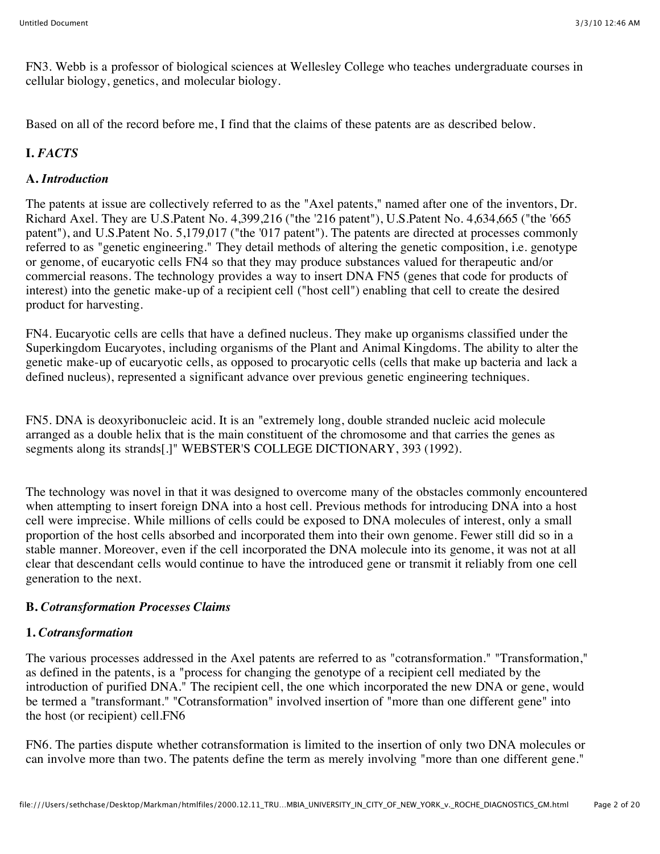FN3. Webb is a professor of biological sciences at Wellesley College who teaches undergraduate courses in cellular biology, genetics, and molecular biology.

Based on all of the record before me, I find that the claims of these patents are as described below.

# **I.** *FACTS*

## **A.** *Introduction*

The patents at issue are collectively referred to as the "Axel patents," named after one of the inventors, Dr. Richard Axel. They are U.S.Patent No. 4,399,216 ("the '216 patent"), U.S.Patent No. 4,634,665 ("the '665 patent"), and U.S.Patent No. 5,179,017 ("the '017 patent"). The patents are directed at processes commonly referred to as "genetic engineering." They detail methods of altering the genetic composition, i.e. genotype or genome, of eucaryotic cells FN4 so that they may produce substances valued for therapeutic and/or commercial reasons. The technology provides a way to insert DNA FN5 (genes that code for products of interest) into the genetic make-up of a recipient cell ("host cell") enabling that cell to create the desired product for harvesting.

FN4. Eucaryotic cells are cells that have a defined nucleus. They make up organisms classified under the Superkingdom Eucaryotes, including organisms of the Plant and Animal Kingdoms. The ability to alter the genetic make-up of eucaryotic cells, as opposed to procaryotic cells (cells that make up bacteria and lack a defined nucleus), represented a significant advance over previous genetic engineering techniques.

FN5. DNA is deoxyribonucleic acid. It is an "extremely long, double stranded nucleic acid molecule arranged as a double helix that is the main constituent of the chromosome and that carries the genes as segments along its strands[.]" WEBSTER'S COLLEGE DICTIONARY, 393 (1992).

The technology was novel in that it was designed to overcome many of the obstacles commonly encountered when attempting to insert foreign DNA into a host cell. Previous methods for introducing DNA into a host cell were imprecise. While millions of cells could be exposed to DNA molecules of interest, only a small proportion of the host cells absorbed and incorporated them into their own genome. Fewer still did so in a stable manner. Moreover, even if the cell incorporated the DNA molecule into its genome, it was not at all clear that descendant cells would continue to have the introduced gene or transmit it reliably from one cell generation to the next.

## **B.** *Cotransformation Processes Claims*

## **1.** *Cotransformation*

The various processes addressed in the Axel patents are referred to as "cotransformation." "Transformation," as defined in the patents, is a "process for changing the genotype of a recipient cell mediated by the introduction of purified DNA." The recipient cell, the one which incorporated the new DNA or gene, would be termed a "transformant." "Cotransformation" involved insertion of "more than one different gene" into the host (or recipient) cell.FN6

FN6. The parties dispute whether cotransformation is limited to the insertion of only two DNA molecules or can involve more than two. The patents define the term as merely involving "more than one different gene."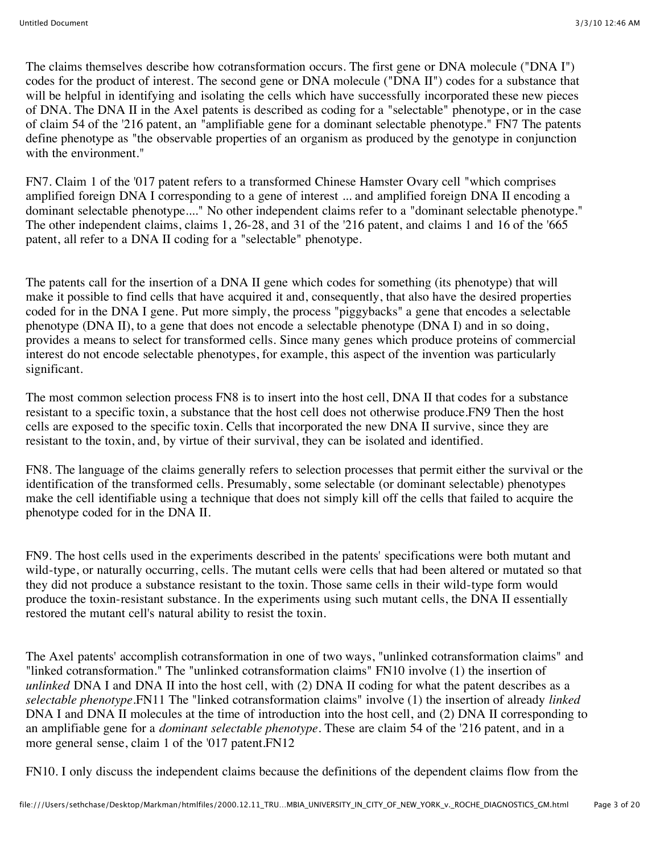The claims themselves describe how cotransformation occurs. The first gene or DNA molecule ("DNA I") codes for the product of interest. The second gene or DNA molecule ("DNA II") codes for a substance that will be helpful in identifying and isolating the cells which have successfully incorporated these new pieces of DNA. The DNA II in the Axel patents is described as coding for a "selectable" phenotype, or in the case of claim 54 of the '216 patent, an "amplifiable gene for a dominant selectable phenotype." FN7 The patents define phenotype as "the observable properties of an organism as produced by the genotype in conjunction with the environment."

FN7. Claim 1 of the '017 patent refers to a transformed Chinese Hamster Ovary cell "which comprises amplified foreign DNA I corresponding to a gene of interest ... and amplified foreign DNA II encoding a dominant selectable phenotype...." No other independent claims refer to a "dominant selectable phenotype." The other independent claims, claims 1, 26-28, and 31 of the '216 patent, and claims 1 and 16 of the '665 patent, all refer to a DNA II coding for a "selectable" phenotype.

The patents call for the insertion of a DNA II gene which codes for something (its phenotype) that will make it possible to find cells that have acquired it and, consequently, that also have the desired properties coded for in the DNA I gene. Put more simply, the process "piggybacks" a gene that encodes a selectable phenotype (DNA II), to a gene that does not encode a selectable phenotype (DNA I) and in so doing, provides a means to select for transformed cells. Since many genes which produce proteins of commercial interest do not encode selectable phenotypes, for example, this aspect of the invention was particularly significant.

The most common selection process FN8 is to insert into the host cell, DNA II that codes for a substance resistant to a specific toxin, a substance that the host cell does not otherwise produce.FN9 Then the host cells are exposed to the specific toxin. Cells that incorporated the new DNA II survive, since they are resistant to the toxin, and, by virtue of their survival, they can be isolated and identified.

FN8. The language of the claims generally refers to selection processes that permit either the survival or the identification of the transformed cells. Presumably, some selectable (or dominant selectable) phenotypes make the cell identifiable using a technique that does not simply kill off the cells that failed to acquire the phenotype coded for in the DNA II.

FN9. The host cells used in the experiments described in the patents' specifications were both mutant and wild-type, or naturally occurring, cells. The mutant cells were cells that had been altered or mutated so that they did not produce a substance resistant to the toxin. Those same cells in their wild-type form would produce the toxin-resistant substance. In the experiments using such mutant cells, the DNA II essentially restored the mutant cell's natural ability to resist the toxin.

The Axel patents' accomplish cotransformation in one of two ways, "unlinked cotransformation claims" and "linked cotransformation." The "unlinked cotransformation claims" FN10 involve (1) the insertion of *unlinked* DNA I and DNA II into the host cell, with (2) DNA II coding for what the patent describes as a *selectable phenotype.*FN11 The "linked cotransformation claims" involve (1) the insertion of already *linked* DNA I and DNA II molecules at the time of introduction into the host cell, and (2) DNA II corresponding to an amplifiable gene for a *dominant selectable phenotype.* These are claim 54 of the '216 patent, and in a more general sense, claim 1 of the '017 patent.FN12

FN10. I only discuss the independent claims because the definitions of the dependent claims flow from the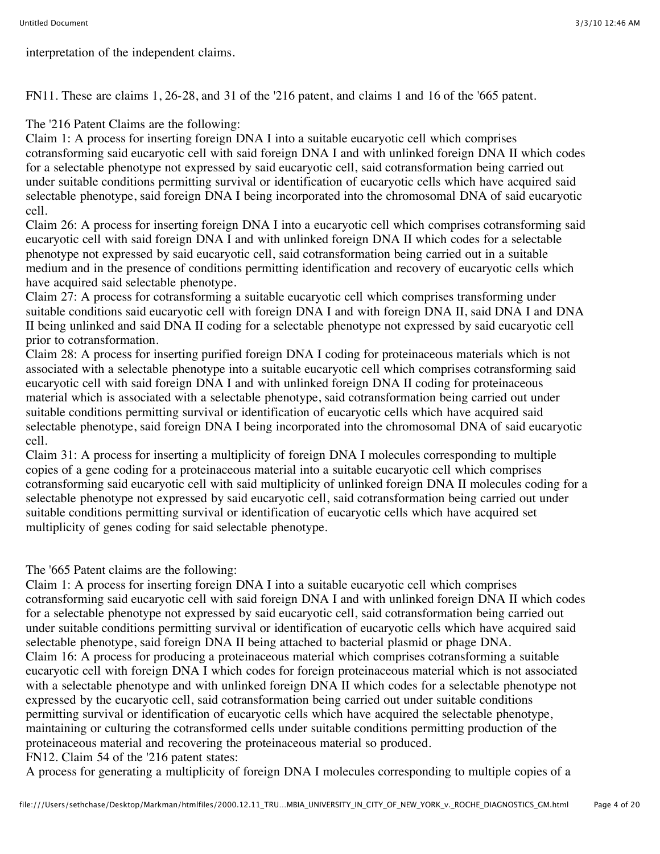interpretation of the independent claims.

FN11. These are claims 1, 26-28, and 31 of the '216 patent, and claims 1 and 16 of the '665 patent.

The '216 Patent Claims are the following:

Claim 1: A process for inserting foreign DNA I into a suitable eucaryotic cell which comprises cotransforming said eucaryotic cell with said foreign DNA I and with unlinked foreign DNA II which codes for a selectable phenotype not expressed by said eucaryotic cell, said cotransformation being carried out under suitable conditions permitting survival or identification of eucaryotic cells which have acquired said selectable phenotype, said foreign DNA I being incorporated into the chromosomal DNA of said eucaryotic cell.

Claim 26: A process for inserting foreign DNA I into a eucaryotic cell which comprises cotransforming said eucaryotic cell with said foreign DNA I and with unlinked foreign DNA II which codes for a selectable phenotype not expressed by said eucaryotic cell, said cotransformation being carried out in a suitable medium and in the presence of conditions permitting identification and recovery of eucaryotic cells which have acquired said selectable phenotype.

Claim 27: A process for cotransforming a suitable eucaryotic cell which comprises transforming under suitable conditions said eucaryotic cell with foreign DNA I and with foreign DNA II, said DNA I and DNA II being unlinked and said DNA II coding for a selectable phenotype not expressed by said eucaryotic cell prior to cotransformation.

Claim 28: A process for inserting purified foreign DNA I coding for proteinaceous materials which is not associated with a selectable phenotype into a suitable eucaryotic cell which comprises cotransforming said eucaryotic cell with said foreign DNA I and with unlinked foreign DNA II coding for proteinaceous material which is associated with a selectable phenotype, said cotransformation being carried out under suitable conditions permitting survival or identification of eucaryotic cells which have acquired said selectable phenotype, said foreign DNA I being incorporated into the chromosomal DNA of said eucaryotic cell.

Claim 31: A process for inserting a multiplicity of foreign DNA I molecules corresponding to multiple copies of a gene coding for a proteinaceous material into a suitable eucaryotic cell which comprises cotransforming said eucaryotic cell with said multiplicity of unlinked foreign DNA II molecules coding for a selectable phenotype not expressed by said eucaryotic cell, said cotransformation being carried out under suitable conditions permitting survival or identification of eucaryotic cells which have acquired set multiplicity of genes coding for said selectable phenotype.

The '665 Patent claims are the following:

Claim 1: A process for inserting foreign DNA I into a suitable eucaryotic cell which comprises cotransforming said eucaryotic cell with said foreign DNA I and with unlinked foreign DNA II which codes for a selectable phenotype not expressed by said eucaryotic cell, said cotransformation being carried out under suitable conditions permitting survival or identification of eucaryotic cells which have acquired said selectable phenotype, said foreign DNA II being attached to bacterial plasmid or phage DNA. Claim 16: A process for producing a proteinaceous material which comprises cotransforming a suitable eucaryotic cell with foreign DNA I which codes for foreign proteinaceous material which is not associated with a selectable phenotype and with unlinked foreign DNA II which codes for a selectable phenotype not expressed by the eucaryotic cell, said cotransformation being carried out under suitable conditions permitting survival or identification of eucaryotic cells which have acquired the selectable phenotype, maintaining or culturing the cotransformed cells under suitable conditions permitting production of the proteinaceous material and recovering the proteinaceous material so produced. FN12. Claim 54 of the '216 patent states:

A process for generating a multiplicity of foreign DNA I molecules corresponding to multiple copies of a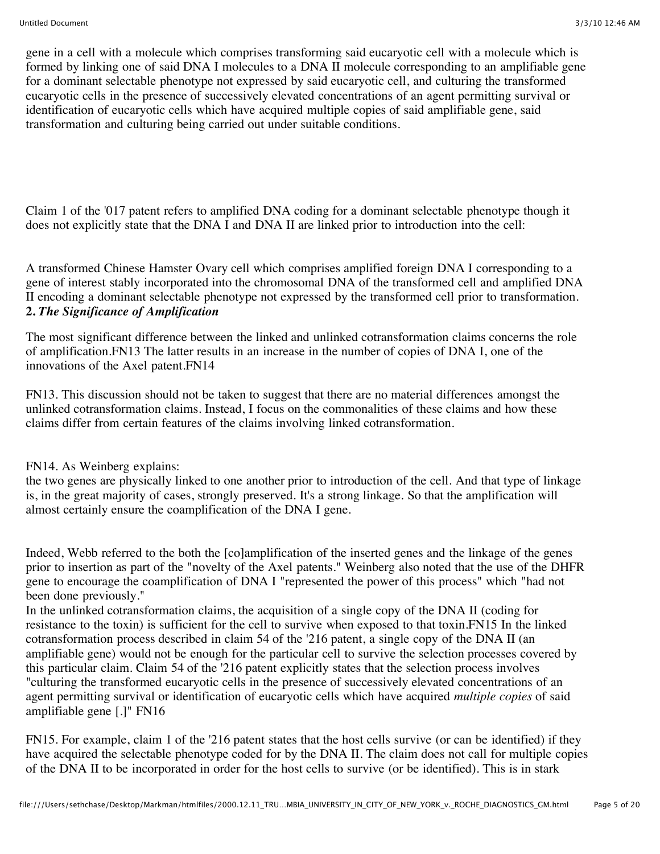gene in a cell with a molecule which comprises transforming said eucaryotic cell with a molecule which is formed by linking one of said DNA I molecules to a DNA II molecule corresponding to an amplifiable gene for a dominant selectable phenotype not expressed by said eucaryotic cell, and culturing the transformed eucaryotic cells in the presence of successively elevated concentrations of an agent permitting survival or identification of eucaryotic cells which have acquired multiple copies of said amplifiable gene, said transformation and culturing being carried out under suitable conditions.

Claim 1 of the '017 patent refers to amplified DNA coding for a dominant selectable phenotype though it does not explicitly state that the DNA I and DNA II are linked prior to introduction into the cell:

A transformed Chinese Hamster Ovary cell which comprises amplified foreign DNA I corresponding to a gene of interest stably incorporated into the chromosomal DNA of the transformed cell and amplified DNA II encoding a dominant selectable phenotype not expressed by the transformed cell prior to transformation. **2.** *The Significance of Amplification*

The most significant difference between the linked and unlinked cotransformation claims concerns the role of amplification.FN13 The latter results in an increase in the number of copies of DNA I, one of the innovations of the Axel patent.FN14

FN13. This discussion should not be taken to suggest that there are no material differences amongst the unlinked cotransformation claims. Instead, I focus on the commonalities of these claims and how these claims differ from certain features of the claims involving linked cotransformation.

### FN14. As Weinberg explains:

the two genes are physically linked to one another prior to introduction of the cell. And that type of linkage is, in the great majority of cases, strongly preserved. It's a strong linkage. So that the amplification will almost certainly ensure the coamplification of the DNA I gene.

Indeed, Webb referred to the both the [co]amplification of the inserted genes and the linkage of the genes prior to insertion as part of the "novelty of the Axel patents." Weinberg also noted that the use of the DHFR gene to encourage the coamplification of DNA I "represented the power of this process" which "had not been done previously."

In the unlinked cotransformation claims, the acquisition of a single copy of the DNA II (coding for resistance to the toxin) is sufficient for the cell to survive when exposed to that toxin.FN15 In the linked cotransformation process described in claim 54 of the '216 patent, a single copy of the DNA II (an amplifiable gene) would not be enough for the particular cell to survive the selection processes covered by this particular claim. Claim 54 of the '216 patent explicitly states that the selection process involves "culturing the transformed eucaryotic cells in the presence of successively elevated concentrations of an agent permitting survival or identification of eucaryotic cells which have acquired *multiple copies* of said amplifiable gene [.]" FN16

FN15. For example, claim 1 of the '216 patent states that the host cells survive (or can be identified) if they have acquired the selectable phenotype coded for by the DNA II. The claim does not call for multiple copies of the DNA II to be incorporated in order for the host cells to survive (or be identified). This is in stark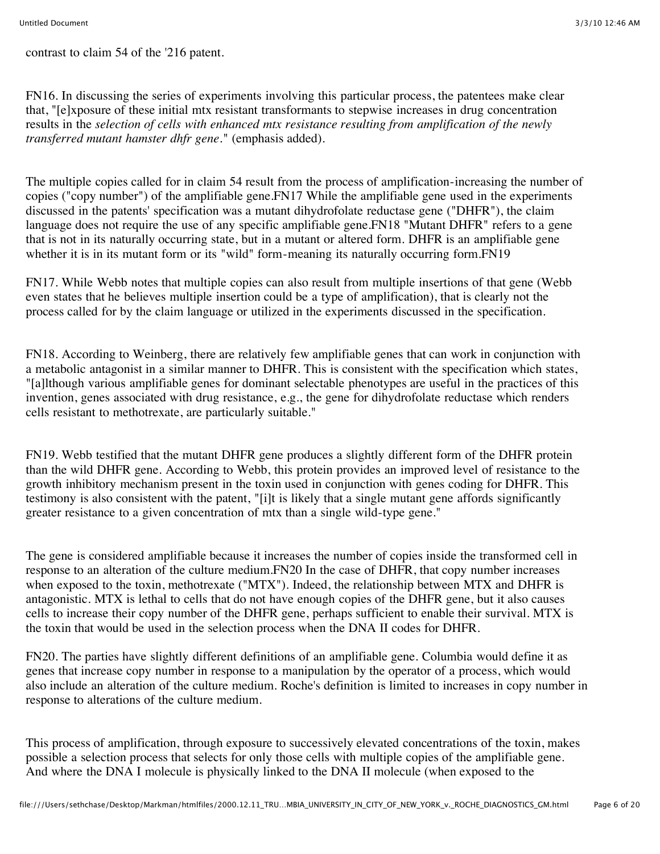contrast to claim 54 of the '216 patent.

FN16. In discussing the series of experiments involving this particular process, the patentees make clear that, "[e]xposure of these initial mtx resistant transformants to stepwise increases in drug concentration results in the *selection of cells with enhanced mtx resistance resulting from amplification of the newly transferred mutant hamster dhfr gene.*" (emphasis added).

The multiple copies called for in claim 54 result from the process of amplification-increasing the number of copies ("copy number") of the amplifiable gene.FN17 While the amplifiable gene used in the experiments discussed in the patents' specification was a mutant dihydrofolate reductase gene ("DHFR"), the claim language does not require the use of any specific amplifiable gene.FN18 "Mutant DHFR" refers to a gene that is not in its naturally occurring state, but in a mutant or altered form. DHFR is an amplifiable gene whether it is in its mutant form or its "wild" form-meaning its naturally occurring form.FN19

FN17. While Webb notes that multiple copies can also result from multiple insertions of that gene (Webb even states that he believes multiple insertion could be a type of amplification), that is clearly not the process called for by the claim language or utilized in the experiments discussed in the specification.

FN18. According to Weinberg, there are relatively few amplifiable genes that can work in conjunction with a metabolic antagonist in a similar manner to DHFR. This is consistent with the specification which states, "[a]lthough various amplifiable genes for dominant selectable phenotypes are useful in the practices of this invention, genes associated with drug resistance, e.g., the gene for dihydrofolate reductase which renders cells resistant to methotrexate, are particularly suitable."

FN19. Webb testified that the mutant DHFR gene produces a slightly different form of the DHFR protein than the wild DHFR gene. According to Webb, this protein provides an improved level of resistance to the growth inhibitory mechanism present in the toxin used in conjunction with genes coding for DHFR. This testimony is also consistent with the patent, "[i]t is likely that a single mutant gene affords significantly greater resistance to a given concentration of mtx than a single wild-type gene."

The gene is considered amplifiable because it increases the number of copies inside the transformed cell in response to an alteration of the culture medium.FN20 In the case of DHFR, that copy number increases when exposed to the toxin, methotrexate ("MTX"). Indeed, the relationship between MTX and DHFR is antagonistic. MTX is lethal to cells that do not have enough copies of the DHFR gene, but it also causes cells to increase their copy number of the DHFR gene, perhaps sufficient to enable their survival. MTX is the toxin that would be used in the selection process when the DNA II codes for DHFR.

FN20. The parties have slightly different definitions of an amplifiable gene. Columbia would define it as genes that increase copy number in response to a manipulation by the operator of a process, which would also include an alteration of the culture medium. Roche's definition is limited to increases in copy number in response to alterations of the culture medium.

This process of amplification, through exposure to successively elevated concentrations of the toxin, makes possible a selection process that selects for only those cells with multiple copies of the amplifiable gene. And where the DNA I molecule is physically linked to the DNA II molecule (when exposed to the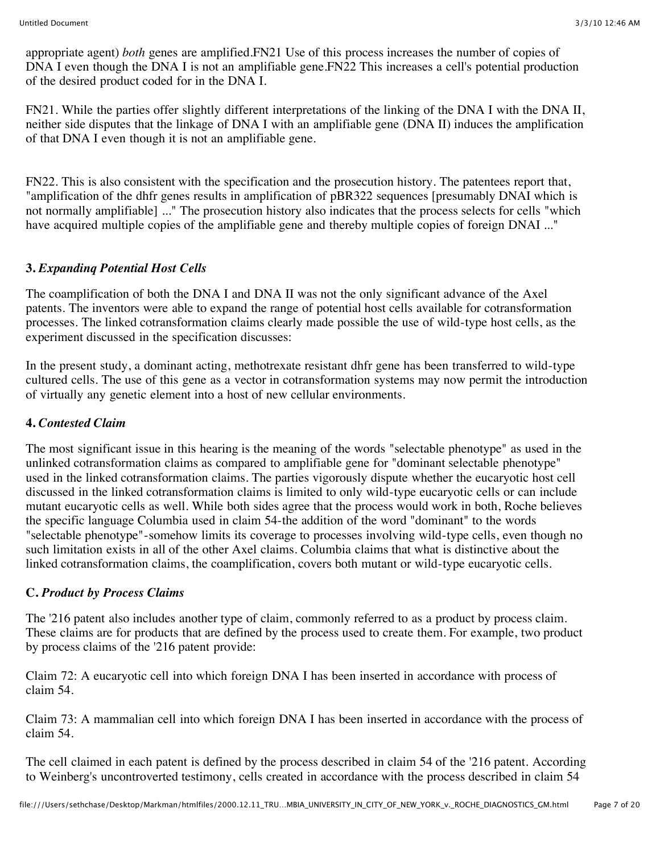appropriate agent) *both* genes are amplified.FN21 Use of this process increases the number of copies of DNA I even though the DNA I is not an amplifiable gene. FN22 This increases a cell's potential production of the desired product coded for in the DNA I.

FN21. While the parties offer slightly different interpretations of the linking of the DNA I with the DNA II, neither side disputes that the linkage of DNA I with an amplifiable gene (DNA II) induces the amplification of that DNA I even though it is not an amplifiable gene.

FN22. This is also consistent with the specification and the prosecution history. The patentees report that, "amplification of the dhfr genes results in amplification of pBR322 sequences [presumably DNAI which is not normally amplifiable] ..." The prosecution history also indicates that the process selects for cells "which have acquired multiple copies of the amplifiable gene and thereby multiple copies of foreign DNAI ..."

### **3.** *Expandinq Potential Host Cells*

The coamplification of both the DNA I and DNA II was not the only significant advance of the Axel patents. The inventors were able to expand the range of potential host cells available for cotransformation processes. The linked cotransformation claims clearly made possible the use of wild-type host cells, as the experiment discussed in the specification discusses:

In the present study, a dominant acting, methotrexate resistant dhfr gene has been transferred to wild-type cultured cells. The use of this gene as a vector in cotransformation systems may now permit the introduction of virtually any genetic element into a host of new cellular environments.

### **4.** *Contested Claim*

The most significant issue in this hearing is the meaning of the words "selectable phenotype" as used in the unlinked cotransformation claims as compared to amplifiable gene for "dominant selectable phenotype" used in the linked cotransformation claims. The parties vigorously dispute whether the eucaryotic host cell discussed in the linked cotransformation claims is limited to only wild-type eucaryotic cells or can include mutant eucaryotic cells as well. While both sides agree that the process would work in both, Roche believes the specific language Columbia used in claim 54-the addition of the word "dominant" to the words "selectable phenotype"-somehow limits its coverage to processes involving wild-type cells, even though no such limitation exists in all of the other Axel claims. Columbia claims that what is distinctive about the linked cotransformation claims, the coamplification, covers both mutant or wild-type eucaryotic cells.

### **C.** *Product by Process Claims*

The '216 patent also includes another type of claim, commonly referred to as a product by process claim. These claims are for products that are defined by the process used to create them. For example, two product by process claims of the '216 patent provide:

Claim 72: A eucaryotic cell into which foreign DNA I has been inserted in accordance with process of claim 54.

Claim 73: A mammalian cell into which foreign DNA I has been inserted in accordance with the process of claim 54.

The cell claimed in each patent is defined by the process described in claim 54 of the '216 patent. According to Weinberg's uncontroverted testimony, cells created in accordance with the process described in claim 54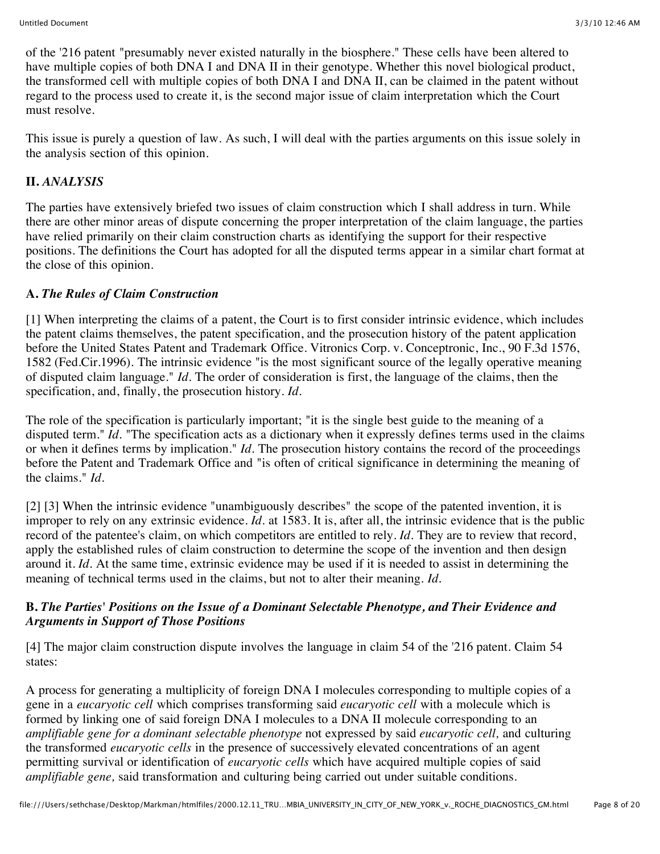of the '216 patent "presumably never existed naturally in the biosphere." These cells have been altered to have multiple copies of both DNA I and DNA II in their genotype. Whether this novel biological product, the transformed cell with multiple copies of both DNA I and DNA II, can be claimed in the patent without regard to the process used to create it, is the second major issue of claim interpretation which the Court must resolve.

This issue is purely a question of law. As such, I will deal with the parties arguments on this issue solely in the analysis section of this opinion.

# **II.** *ANALYSIS*

The parties have extensively briefed two issues of claim construction which I shall address in turn. While there are other minor areas of dispute concerning the proper interpretation of the claim language, the parties have relied primarily on their claim construction charts as identifying the support for their respective positions. The definitions the Court has adopted for all the disputed terms appear in a similar chart format at the close of this opinion.

## **A.** *The Rules of Claim Construction*

[1] When interpreting the claims of a patent, the Court is to first consider intrinsic evidence, which includes the patent claims themselves, the patent specification, and the prosecution history of the patent application before the United States Patent and Trademark Office. Vitronics Corp. v. Conceptronic, Inc., 90 F.3d 1576, 1582 (Fed.Cir.1996). The intrinsic evidence "is the most significant source of the legally operative meaning of disputed claim language." *Id.* The order of consideration is first, the language of the claims, then the specification, and, finally, the prosecution history. *Id.*

The role of the specification is particularly important; "it is the single best guide to the meaning of a disputed term." *Id.* "The specification acts as a dictionary when it expressly defines terms used in the claims or when it defines terms by implication." *Id.* The prosecution history contains the record of the proceedings before the Patent and Trademark Office and "is often of critical significance in determining the meaning of the claims." *Id.*

[2] [3] When the intrinsic evidence "unambiguously describes" the scope of the patented invention, it is improper to rely on any extrinsic evidence. *Id.* at 1583. It is, after all, the intrinsic evidence that is the public record of the patentee's claim, on which competitors are entitled to rely. *Id.* They are to review that record, apply the established rules of claim construction to determine the scope of the invention and then design around it. *Id.* At the same time, extrinsic evidence may be used if it is needed to assist in determining the meaning of technical terms used in the claims, but not to alter their meaning. *Id.*

## **B.** *The Parties' Positions on the Issue of a Dominant Selectable Phenotype, and Their Evidence and Arguments in Support of Those Positions*

[4] The major claim construction dispute involves the language in claim 54 of the '216 patent. Claim 54 states:

A process for generating a multiplicity of foreign DNA I molecules corresponding to multiple copies of a gene in a *eucaryotic cell* which comprises transforming said *eucaryotic cell* with a molecule which is formed by linking one of said foreign DNA I molecules to a DNA II molecule corresponding to an *amplifiable gene for a dominant selectable phenotype* not expressed by said *eucaryotic cell,* and culturing the transformed *eucaryotic cells* in the presence of successively elevated concentrations of an agent permitting survival or identification of *eucaryotic cells* which have acquired multiple copies of said *amplifiable gene,* said transformation and culturing being carried out under suitable conditions.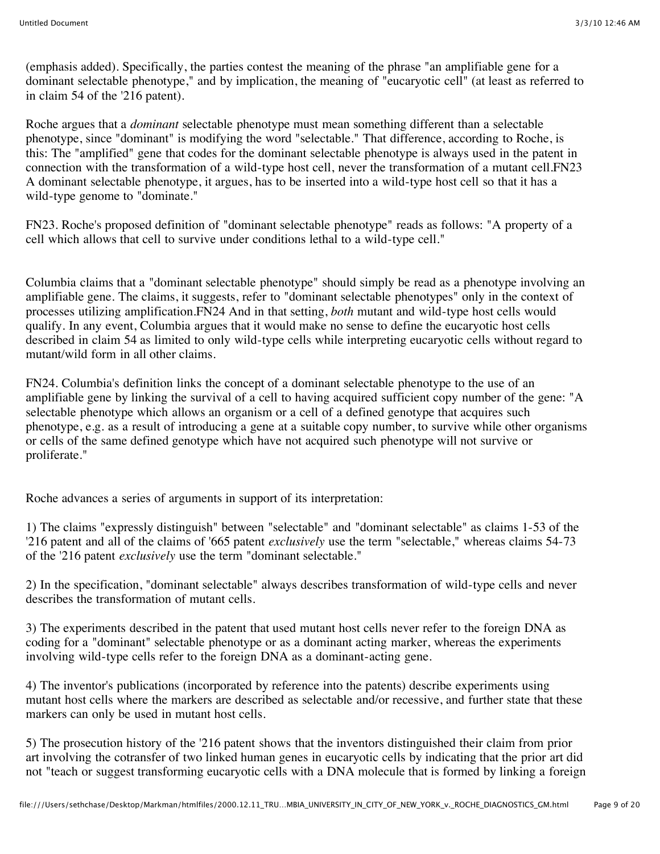(emphasis added). Specifically, the parties contest the meaning of the phrase "an amplifiable gene for a dominant selectable phenotype," and by implication, the meaning of "eucaryotic cell" (at least as referred to in claim 54 of the '216 patent).

Roche argues that a *dominant* selectable phenotype must mean something different than a selectable phenotype, since "dominant" is modifying the word "selectable." That difference, according to Roche, is this: The "amplified" gene that codes for the dominant selectable phenotype is always used in the patent in connection with the transformation of a wild-type host cell, never the transformation of a mutant cell.FN23 A dominant selectable phenotype, it argues, has to be inserted into a wild-type host cell so that it has a wild-type genome to "dominate."

FN23. Roche's proposed definition of "dominant selectable phenotype" reads as follows: "A property of a cell which allows that cell to survive under conditions lethal to a wild-type cell."

Columbia claims that a "dominant selectable phenotype" should simply be read as a phenotype involving an amplifiable gene. The claims, it suggests, refer to "dominant selectable phenotypes" only in the context of processes utilizing amplification.FN24 And in that setting, *both* mutant and wild-type host cells would qualify. In any event, Columbia argues that it would make no sense to define the eucaryotic host cells described in claim 54 as limited to only wild-type cells while interpreting eucaryotic cells without regard to mutant/wild form in all other claims.

FN24. Columbia's definition links the concept of a dominant selectable phenotype to the use of an amplifiable gene by linking the survival of a cell to having acquired sufficient copy number of the gene: "A selectable phenotype which allows an organism or a cell of a defined genotype that acquires such phenotype, e.g. as a result of introducing a gene at a suitable copy number, to survive while other organisms or cells of the same defined genotype which have not acquired such phenotype will not survive or proliferate."

Roche advances a series of arguments in support of its interpretation:

1) The claims "expressly distinguish" between "selectable" and "dominant selectable" as claims 1-53 of the '216 patent and all of the claims of '665 patent *exclusively* use the term "selectable," whereas claims 54-73 of the '216 patent *exclusively* use the term "dominant selectable."

2) In the specification, "dominant selectable" always describes transformation of wild-type cells and never describes the transformation of mutant cells.

3) The experiments described in the patent that used mutant host cells never refer to the foreign DNA as coding for a "dominant" selectable phenotype or as a dominant acting marker, whereas the experiments involving wild-type cells refer to the foreign DNA as a dominant-acting gene.

4) The inventor's publications (incorporated by reference into the patents) describe experiments using mutant host cells where the markers are described as selectable and/or recessive, and further state that these markers can only be used in mutant host cells.

5) The prosecution history of the '216 patent shows that the inventors distinguished their claim from prior art involving the cotransfer of two linked human genes in eucaryotic cells by indicating that the prior art did not "teach or suggest transforming eucaryotic cells with a DNA molecule that is formed by linking a foreign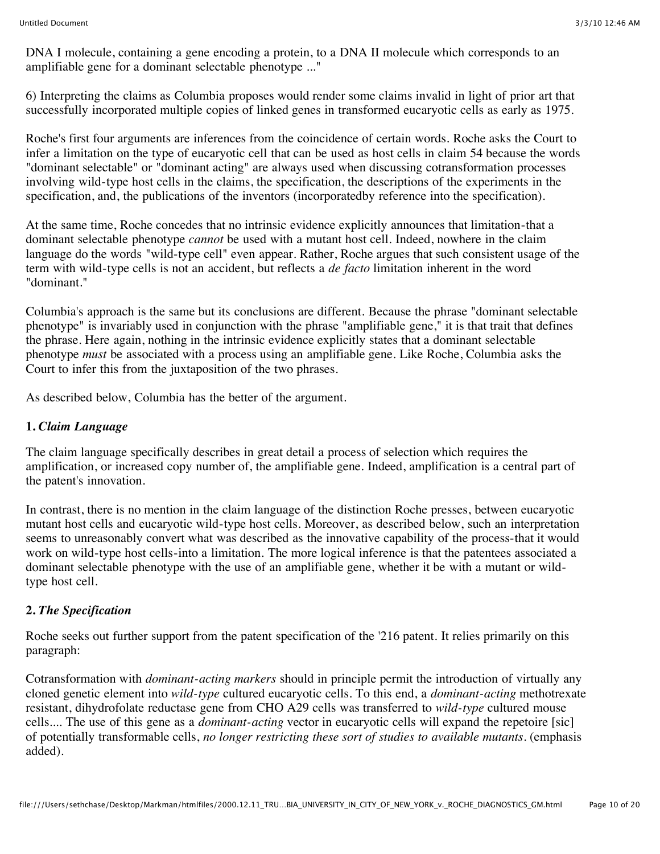DNA I molecule, containing a gene encoding a protein, to a DNA II molecule which corresponds to an amplifiable gene for a dominant selectable phenotype ..."

6) Interpreting the claims as Columbia proposes would render some claims invalid in light of prior art that successfully incorporated multiple copies of linked genes in transformed eucaryotic cells as early as 1975.

Roche's first four arguments are inferences from the coincidence of certain words. Roche asks the Court to infer a limitation on the type of eucaryotic cell that can be used as host cells in claim 54 because the words "dominant selectable" or "dominant acting" are always used when discussing cotransformation processes involving wild-type host cells in the claims, the specification, the descriptions of the experiments in the specification, and, the publications of the inventors (incorporatedby reference into the specification).

At the same time, Roche concedes that no intrinsic evidence explicitly announces that limitation-that a dominant selectable phenotype *cannot* be used with a mutant host cell. Indeed, nowhere in the claim language do the words "wild-type cell" even appear. Rather, Roche argues that such consistent usage of the term with wild-type cells is not an accident, but reflects a *de facto* limitation inherent in the word "dominant."

Columbia's approach is the same but its conclusions are different. Because the phrase "dominant selectable phenotype" is invariably used in conjunction with the phrase "amplifiable gene," it is that trait that defines the phrase. Here again, nothing in the intrinsic evidence explicitly states that a dominant selectable phenotype *must* be associated with a process using an amplifiable gene. Like Roche, Columbia asks the Court to infer this from the juxtaposition of the two phrases.

As described below, Columbia has the better of the argument.

## **1.** *Claim Language*

The claim language specifically describes in great detail a process of selection which requires the amplification, or increased copy number of, the amplifiable gene. Indeed, amplification is a central part of the patent's innovation.

In contrast, there is no mention in the claim language of the distinction Roche presses, between eucaryotic mutant host cells and eucaryotic wild-type host cells. Moreover, as described below, such an interpretation seems to unreasonably convert what was described as the innovative capability of the process-that it would work on wild-type host cells-into a limitation. The more logical inference is that the patentees associated a dominant selectable phenotype with the use of an amplifiable gene, whether it be with a mutant or wildtype host cell.

## **2.** *The Specification*

Roche seeks out further support from the patent specification of the '216 patent. It relies primarily on this paragraph:

Cotransformation with *dominant-acting markers* should in principle permit the introduction of virtually any cloned genetic element into *wild-type* cultured eucaryotic cells. To this end, a *dominant-acting* methotrexate resistant, dihydrofolate reductase gene from CHO A29 cells was transferred to *wild-type* cultured mouse cells.... The use of this gene as a *dominant-acting* vector in eucaryotic cells will expand the repetoire [sic] of potentially transformable cells, *no longer restricting these sort of studies to available mutants.* (emphasis added).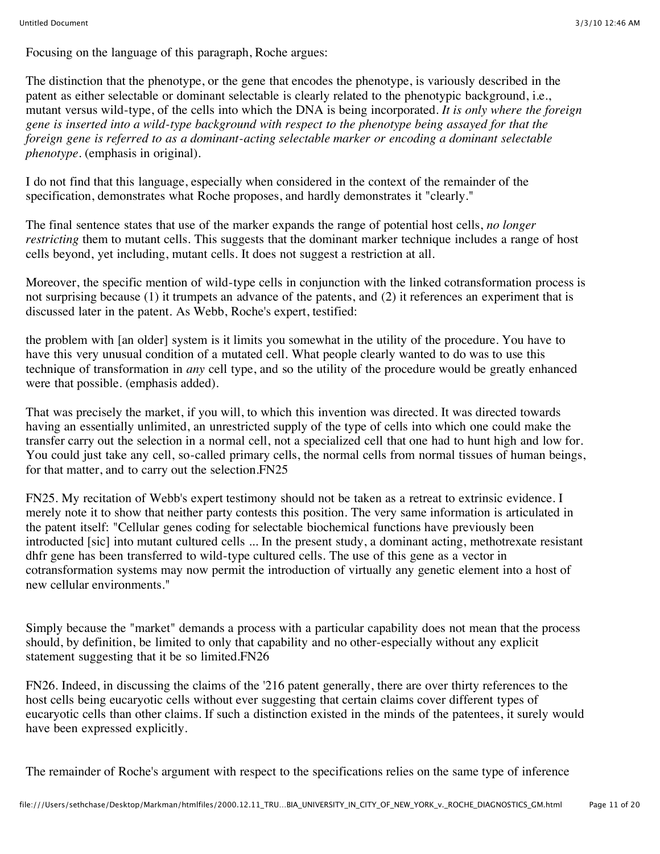Focusing on the language of this paragraph, Roche argues:

The distinction that the phenotype, or the gene that encodes the phenotype, is variously described in the patent as either selectable or dominant selectable is clearly related to the phenotypic background, i.e., mutant versus wild-type, of the cells into which the DNA is being incorporated. *It is only where the foreign gene is inserted into a wild-type background with respect to the phenotype being assayed for that the foreign gene is referred to as a dominant-acting selectable marker or encoding a dominant selectable phenotype.* (emphasis in original).

I do not find that this language, especially when considered in the context of the remainder of the specification, demonstrates what Roche proposes, and hardly demonstrates it "clearly."

The final sentence states that use of the marker expands the range of potential host cells, *no longer restricting* them to mutant cells. This suggests that the dominant marker technique includes a range of host cells beyond, yet including, mutant cells. It does not suggest a restriction at all.

Moreover, the specific mention of wild-type cells in conjunction with the linked cotransformation process is not surprising because (1) it trumpets an advance of the patents, and (2) it references an experiment that is discussed later in the patent. As Webb, Roche's expert, testified:

the problem with [an older] system is it limits you somewhat in the utility of the procedure. You have to have this very unusual condition of a mutated cell. What people clearly wanted to do was to use this technique of transformation in *any* cell type, and so the utility of the procedure would be greatly enhanced were that possible. (emphasis added).

That was precisely the market, if you will, to which this invention was directed. It was directed towards having an essentially unlimited, an unrestricted supply of the type of cells into which one could make the transfer carry out the selection in a normal cell, not a specialized cell that one had to hunt high and low for. You could just take any cell, so-called primary cells, the normal cells from normal tissues of human beings, for that matter, and to carry out the selection.FN25

FN25. My recitation of Webb's expert testimony should not be taken as a retreat to extrinsic evidence. I merely note it to show that neither party contests this position. The very same information is articulated in the patent itself: "Cellular genes coding for selectable biochemical functions have previously been introducted [sic] into mutant cultured cells ... In the present study, a dominant acting, methotrexate resistant dhfr gene has been transferred to wild-type cultured cells. The use of this gene as a vector in cotransformation systems may now permit the introduction of virtually any genetic element into a host of new cellular environments."

Simply because the "market" demands a process with a particular capability does not mean that the process should, by definition, be limited to only that capability and no other-especially without any explicit statement suggesting that it be so limited.FN26

FN26. Indeed, in discussing the claims of the '216 patent generally, there are over thirty references to the host cells being eucaryotic cells without ever suggesting that certain claims cover different types of eucaryotic cells than other claims. If such a distinction existed in the minds of the patentees, it surely would have been expressed explicitly.

The remainder of Roche's argument with respect to the specifications relies on the same type of inference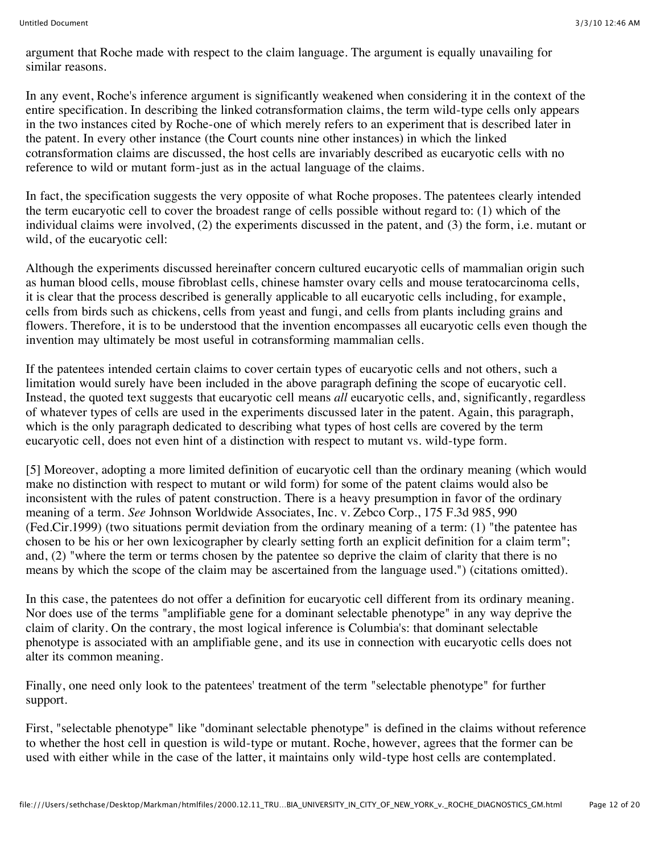argument that Roche made with respect to the claim language. The argument is equally unavailing for similar reasons.

In any event, Roche's inference argument is significantly weakened when considering it in the context of the entire specification. In describing the linked cotransformation claims, the term wild-type cells only appears in the two instances cited by Roche-one of which merely refers to an experiment that is described later in the patent. In every other instance (the Court counts nine other instances) in which the linked cotransformation claims are discussed, the host cells are invariably described as eucaryotic cells with no reference to wild or mutant form-just as in the actual language of the claims.

In fact, the specification suggests the very opposite of what Roche proposes. The patentees clearly intended the term eucaryotic cell to cover the broadest range of cells possible without regard to: (1) which of the individual claims were involved, (2) the experiments discussed in the patent, and (3) the form, i.e. mutant or wild, of the eucaryotic cell:

Although the experiments discussed hereinafter concern cultured eucaryotic cells of mammalian origin such as human blood cells, mouse fibroblast cells, chinese hamster ovary cells and mouse teratocarcinoma cells, it is clear that the process described is generally applicable to all eucaryotic cells including, for example, cells from birds such as chickens, cells from yeast and fungi, and cells from plants including grains and flowers. Therefore, it is to be understood that the invention encompasses all eucaryotic cells even though the invention may ultimately be most useful in cotransforming mammalian cells.

If the patentees intended certain claims to cover certain types of eucaryotic cells and not others, such a limitation would surely have been included in the above paragraph defining the scope of eucaryotic cell. Instead, the quoted text suggests that eucaryotic cell means *all* eucaryotic cells, and, significantly, regardless of whatever types of cells are used in the experiments discussed later in the patent. Again, this paragraph, which is the only paragraph dedicated to describing what types of host cells are covered by the term eucaryotic cell, does not even hint of a distinction with respect to mutant vs. wild-type form.

[5] Moreover, adopting a more limited definition of eucaryotic cell than the ordinary meaning (which would make no distinction with respect to mutant or wild form) for some of the patent claims would also be inconsistent with the rules of patent construction. There is a heavy presumption in favor of the ordinary meaning of a term. *See* Johnson Worldwide Associates, Inc. v. Zebco Corp., 175 F.3d 985, 990 (Fed.Cir.1999) (two situations permit deviation from the ordinary meaning of a term: (1) "the patentee has chosen to be his or her own lexicographer by clearly setting forth an explicit definition for a claim term"; and, (2) "where the term or terms chosen by the patentee so deprive the claim of clarity that there is no means by which the scope of the claim may be ascertained from the language used.") (citations omitted).

In this case, the patentees do not offer a definition for eucaryotic cell different from its ordinary meaning. Nor does use of the terms "amplifiable gene for a dominant selectable phenotype" in any way deprive the claim of clarity. On the contrary, the most logical inference is Columbia's: that dominant selectable phenotype is associated with an amplifiable gene, and its use in connection with eucaryotic cells does not alter its common meaning.

Finally, one need only look to the patentees' treatment of the term "selectable phenotype" for further support.

First, "selectable phenotype" like "dominant selectable phenotype" is defined in the claims without reference to whether the host cell in question is wild-type or mutant. Roche, however, agrees that the former can be used with either while in the case of the latter, it maintains only wild-type host cells are contemplated.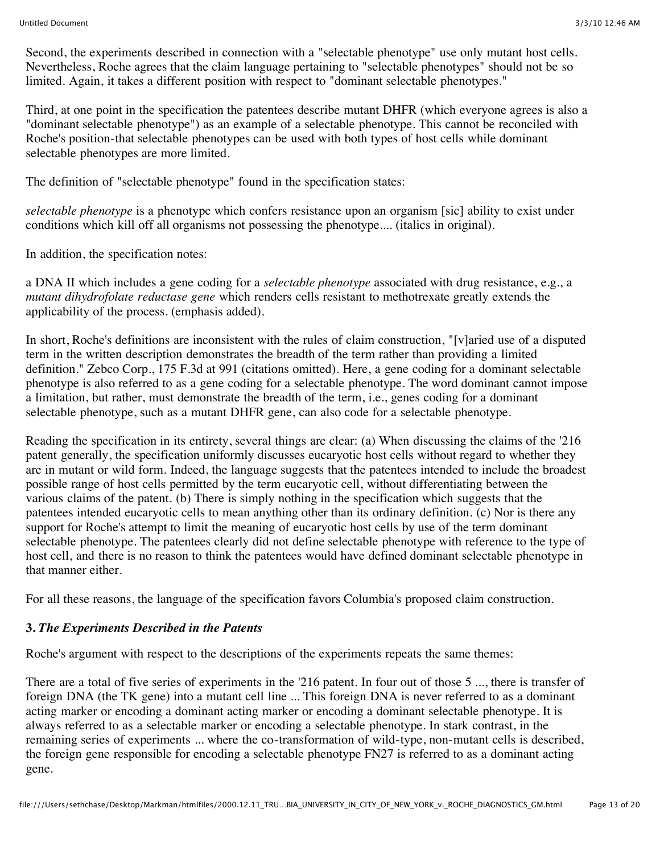Second, the experiments described in connection with a "selectable phenotype" use only mutant host cells. Nevertheless, Roche agrees that the claim language pertaining to "selectable phenotypes" should not be so limited. Again, it takes a different position with respect to "dominant selectable phenotypes."

Third, at one point in the specification the patentees describe mutant DHFR (which everyone agrees is also a "dominant selectable phenotype") as an example of a selectable phenotype. This cannot be reconciled with Roche's position-that selectable phenotypes can be used with both types of host cells while dominant selectable phenotypes are more limited.

The definition of "selectable phenotype" found in the specification states:

*selectable phenotype* is a phenotype which confers resistance upon an organism [sic] ability to exist under conditions which kill off all organisms not possessing the phenotype.... (italics in original).

In addition, the specification notes:

a DNA II which includes a gene coding for a *selectable phenotype* associated with drug resistance, e.g., a *mutant dihydrofolate reductase gene* which renders cells resistant to methotrexate greatly extends the applicability of the process. (emphasis added).

In short, Roche's definitions are inconsistent with the rules of claim construction, "[v]aried use of a disputed term in the written description demonstrates the breadth of the term rather than providing a limited definition." Zebco Corp., 175 F.3d at 991 (citations omitted). Here, a gene coding for a dominant selectable phenotype is also referred to as a gene coding for a selectable phenotype. The word dominant cannot impose a limitation, but rather, must demonstrate the breadth of the term, i.e., genes coding for a dominant selectable phenotype, such as a mutant DHFR gene, can also code for a selectable phenotype.

Reading the specification in its entirety, several things are clear: (a) When discussing the claims of the '216 patent generally, the specification uniformly discusses eucaryotic host cells without regard to whether they are in mutant or wild form. Indeed, the language suggests that the patentees intended to include the broadest possible range of host cells permitted by the term eucaryotic cell, without differentiating between the various claims of the patent. (b) There is simply nothing in the specification which suggests that the patentees intended eucaryotic cells to mean anything other than its ordinary definition. (c) Nor is there any support for Roche's attempt to limit the meaning of eucaryotic host cells by use of the term dominant selectable phenotype. The patentees clearly did not define selectable phenotype with reference to the type of host cell, and there is no reason to think the patentees would have defined dominant selectable phenotype in that manner either.

For all these reasons, the language of the specification favors Columbia's proposed claim construction.

## **3.** *The Experiments Described in the Patents*

Roche's argument with respect to the descriptions of the experiments repeats the same themes:

There are a total of five series of experiments in the '216 patent. In four out of those 5 ..., there is transfer of foreign DNA (the TK gene) into a mutant cell line ... This foreign DNA is never referred to as a dominant acting marker or encoding a dominant acting marker or encoding a dominant selectable phenotype. It is always referred to as a selectable marker or encoding a selectable phenotype. In stark contrast, in the remaining series of experiments ... where the co-transformation of wild-type, non-mutant cells is described, the foreign gene responsible for encoding a selectable phenotype FN27 is referred to as a dominant acting gene.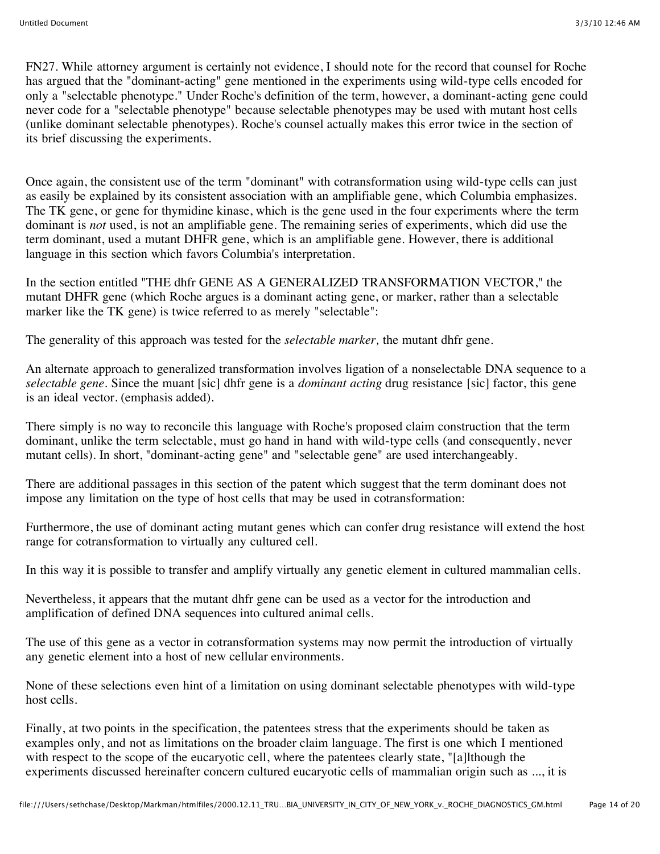FN27. While attorney argument is certainly not evidence, I should note for the record that counsel for Roche has argued that the "dominant-acting" gene mentioned in the experiments using wild-type cells encoded for only a "selectable phenotype." Under Roche's definition of the term, however, a dominant-acting gene could never code for a "selectable phenotype" because selectable phenotypes may be used with mutant host cells (unlike dominant selectable phenotypes). Roche's counsel actually makes this error twice in the section of its brief discussing the experiments.

Once again, the consistent use of the term "dominant" with cotransformation using wild-type cells can just as easily be explained by its consistent association with an amplifiable gene, which Columbia emphasizes. The TK gene, or gene for thymidine kinase, which is the gene used in the four experiments where the term dominant is *not* used, is not an amplifiable gene. The remaining series of experiments, which did use the term dominant, used a mutant DHFR gene, which is an amplifiable gene. However, there is additional language in this section which favors Columbia's interpretation.

In the section entitled "THE dhfr GENE AS A GENERALIZED TRANSFORMATION VECTOR," the mutant DHFR gene (which Roche argues is a dominant acting gene, or marker, rather than a selectable marker like the TK gene) is twice referred to as merely "selectable":

The generality of this approach was tested for the *selectable marker,* the mutant dhfr gene.

An alternate approach to generalized transformation involves ligation of a nonselectable DNA sequence to a *selectable gene.* Since the muant [sic] dhfr gene is a *dominant acting* drug resistance [sic] factor, this gene is an ideal vector. (emphasis added).

There simply is no way to reconcile this language with Roche's proposed claim construction that the term dominant, unlike the term selectable, must go hand in hand with wild-type cells (and consequently, never mutant cells). In short, "dominant-acting gene" and "selectable gene" are used interchangeably.

There are additional passages in this section of the patent which suggest that the term dominant does not impose any limitation on the type of host cells that may be used in cotransformation:

Furthermore, the use of dominant acting mutant genes which can confer drug resistance will extend the host range for cotransformation to virtually any cultured cell.

In this way it is possible to transfer and amplify virtually any genetic element in cultured mammalian cells.

Nevertheless, it appears that the mutant dhfr gene can be used as a vector for the introduction and amplification of defined DNA sequences into cultured animal cells.

The use of this gene as a vector in cotransformation systems may now permit the introduction of virtually any genetic element into a host of new cellular environments.

None of these selections even hint of a limitation on using dominant selectable phenotypes with wild-type host cells.

Finally, at two points in the specification, the patentees stress that the experiments should be taken as examples only, and not as limitations on the broader claim language. The first is one which I mentioned with respect to the scope of the eucaryotic cell, where the patentees clearly state, "[a]lthough the experiments discussed hereinafter concern cultured eucaryotic cells of mammalian origin such as ..., it is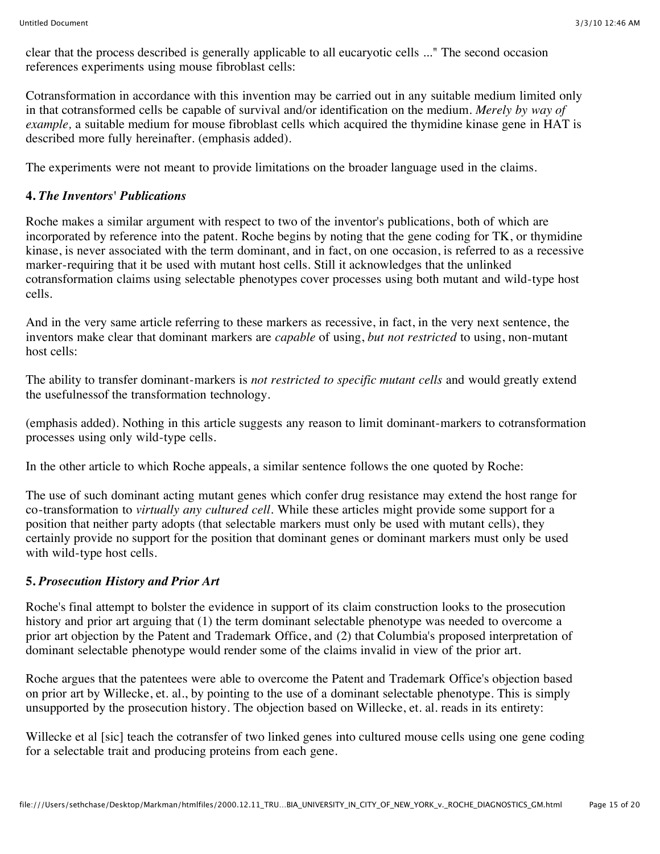clear that the process described is generally applicable to all eucaryotic cells ..." The second occasion references experiments using mouse fibroblast cells:

Cotransformation in accordance with this invention may be carried out in any suitable medium limited only in that cotransformed cells be capable of survival and/or identification on the medium. *Merely by way of example,* a suitable medium for mouse fibroblast cells which acquired the thymidine kinase gene in HAT is described more fully hereinafter. (emphasis added).

The experiments were not meant to provide limitations on the broader language used in the claims.

### **4.** *The Inventors' Publications*

Roche makes a similar argument with respect to two of the inventor's publications, both of which are incorporated by reference into the patent. Roche begins by noting that the gene coding for TK, or thymidine kinase, is never associated with the term dominant, and in fact, on one occasion, is referred to as a recessive marker-requiring that it be used with mutant host cells. Still it acknowledges that the unlinked cotransformation claims using selectable phenotypes cover processes using both mutant and wild-type host cells.

And in the very same article referring to these markers as recessive, in fact, in the very next sentence, the inventors make clear that dominant markers are *capable* of using, *but not restricted* to using, non-mutant host cells:

The ability to transfer dominant-markers is *not restricted to specific mutant cells* and would greatly extend the usefulnessof the transformation technology.

(emphasis added). Nothing in this article suggests any reason to limit dominant-markers to cotransformation processes using only wild-type cells.

In the other article to which Roche appeals, a similar sentence follows the one quoted by Roche:

The use of such dominant acting mutant genes which confer drug resistance may extend the host range for co-transformation to *virtually any cultured cell.* While these articles might provide some support for a position that neither party adopts (that selectable markers must only be used with mutant cells), they certainly provide no support for the position that dominant genes or dominant markers must only be used with wild-type host cells.

### **5.** *Prosecution History and Prior Art*

Roche's final attempt to bolster the evidence in support of its claim construction looks to the prosecution history and prior art arguing that  $(1)$  the term dominant selectable phenotype was needed to overcome a prior art objection by the Patent and Trademark Office, and (2) that Columbia's proposed interpretation of dominant selectable phenotype would render some of the claims invalid in view of the prior art.

Roche argues that the patentees were able to overcome the Patent and Trademark Office's objection based on prior art by Willecke, et. al., by pointing to the use of a dominant selectable phenotype. This is simply unsupported by the prosecution history. The objection based on Willecke, et. al. reads in its entirety:

Willecke et al [sic] teach the cotransfer of two linked genes into cultured mouse cells using one gene coding for a selectable trait and producing proteins from each gene.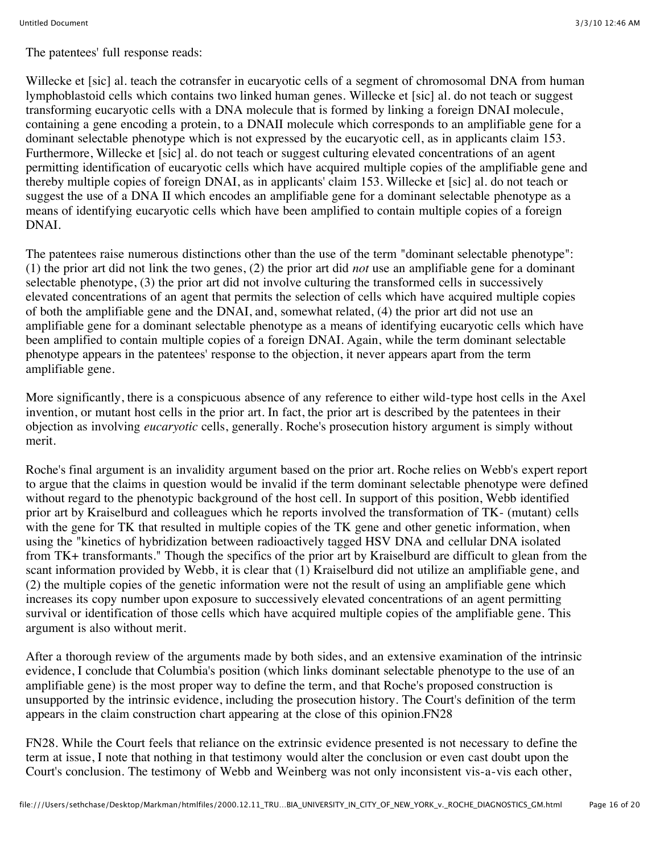The patentees' full response reads:

Willecke et [sic] al. teach the cotransfer in eucaryotic cells of a segment of chromosomal DNA from human lymphoblastoid cells which contains two linked human genes. Willecke et [sic] al. do not teach or suggest transforming eucaryotic cells with a DNA molecule that is formed by linking a foreign DNAI molecule, containing a gene encoding a protein, to a DNAII molecule which corresponds to an amplifiable gene for a dominant selectable phenotype which is not expressed by the eucaryotic cell, as in applicants claim 153. Furthermore, Willecke et [sic] al. do not teach or suggest culturing elevated concentrations of an agent permitting identification of eucaryotic cells which have acquired multiple copies of the amplifiable gene and thereby multiple copies of foreign DNAI, as in applicants' claim 153. Willecke et [sic] al. do not teach or suggest the use of a DNA II which encodes an amplifiable gene for a dominant selectable phenotype as a means of identifying eucaryotic cells which have been amplified to contain multiple copies of a foreign DNAI.

The patentees raise numerous distinctions other than the use of the term "dominant selectable phenotype": (1) the prior art did not link the two genes, (2) the prior art did *not* use an amplifiable gene for a dominant selectable phenotype, (3) the prior art did not involve culturing the transformed cells in successively elevated concentrations of an agent that permits the selection of cells which have acquired multiple copies of both the amplifiable gene and the DNAI, and, somewhat related, (4) the prior art did not use an amplifiable gene for a dominant selectable phenotype as a means of identifying eucaryotic cells which have been amplified to contain multiple copies of a foreign DNAI. Again, while the term dominant selectable phenotype appears in the patentees' response to the objection, it never appears apart from the term amplifiable gene.

More significantly, there is a conspicuous absence of any reference to either wild-type host cells in the Axel invention, or mutant host cells in the prior art. In fact, the prior art is described by the patentees in their objection as involving *eucaryotic* cells, generally. Roche's prosecution history argument is simply without merit.

Roche's final argument is an invalidity argument based on the prior art. Roche relies on Webb's expert report to argue that the claims in question would be invalid if the term dominant selectable phenotype were defined without regard to the phenotypic background of the host cell. In support of this position, Webb identified prior art by Kraiselburd and colleagues which he reports involved the transformation of TK- (mutant) cells with the gene for TK that resulted in multiple copies of the TK gene and other genetic information, when using the "kinetics of hybridization between radioactively tagged HSV DNA and cellular DNA isolated from TK+ transformants." Though the specifics of the prior art by Kraiselburd are difficult to glean from the scant information provided by Webb, it is clear that (1) Kraiselburd did not utilize an amplifiable gene, and (2) the multiple copies of the genetic information were not the result of using an amplifiable gene which increases its copy number upon exposure to successively elevated concentrations of an agent permitting survival or identification of those cells which have acquired multiple copies of the amplifiable gene. This argument is also without merit.

After a thorough review of the arguments made by both sides, and an extensive examination of the intrinsic evidence, I conclude that Columbia's position (which links dominant selectable phenotype to the use of an amplifiable gene) is the most proper way to define the term, and that Roche's proposed construction is unsupported by the intrinsic evidence, including the prosecution history. The Court's definition of the term appears in the claim construction chart appearing at the close of this opinion.FN28

FN28. While the Court feels that reliance on the extrinsic evidence presented is not necessary to define the term at issue, I note that nothing in that testimony would alter the conclusion or even cast doubt upon the Court's conclusion. The testimony of Webb and Weinberg was not only inconsistent vis-a-vis each other,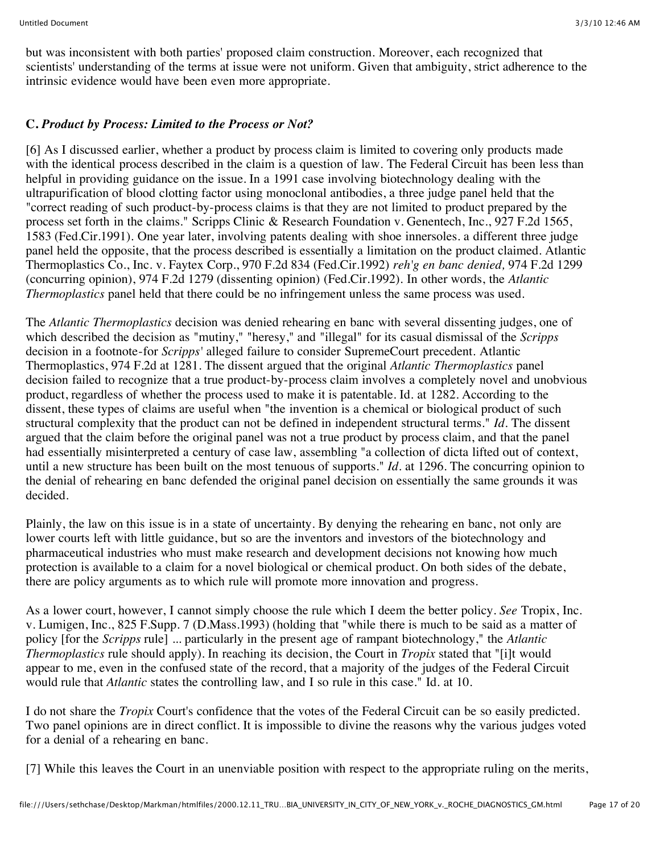but was inconsistent with both parties' proposed claim construction. Moreover, each recognized that scientists' understanding of the terms at issue were not uniform. Given that ambiguity, strict adherence to the intrinsic evidence would have been even more appropriate.

## **C.** *Product by Process: Limited to the Process or Not?*

[6] As I discussed earlier, whether a product by process claim is limited to covering only products made with the identical process described in the claim is a question of law. The Federal Circuit has been less than helpful in providing guidance on the issue. In a 1991 case involving biotechnology dealing with the ultrapurification of blood clotting factor using monoclonal antibodies, a three judge panel held that the "correct reading of such product-by-process claims is that they are not limited to product prepared by the process set forth in the claims." Scripps Clinic & Research Foundation v. Genentech, Inc., 927 F.2d 1565, 1583 (Fed.Cir.1991). One year later, involving patents dealing with shoe innersoles. a different three judge panel held the opposite, that the process described is essentially a limitation on the product claimed. Atlantic Thermoplastics Co., Inc. v. Faytex Corp., 970 F.2d 834 (Fed.Cir.1992) *reh'g en banc denied,* 974 F.2d 1299 (concurring opinion), 974 F.2d 1279 (dissenting opinion) (Fed.Cir.1992). In other words, the *Atlantic Thermoplastics* panel held that there could be no infringement unless the same process was used.

The *Atlantic Thermoplastics* decision was denied rehearing en banc with several dissenting judges, one of which described the decision as "mutiny," "heresy," and "illegal" for its casual dismissal of the *Scripps* decision in a footnote-for *Scripps'* alleged failure to consider SupremeCourt precedent. Atlantic Thermoplastics, 974 F.2d at 1281. The dissent argued that the original *Atlantic Thermoplastics* panel decision failed to recognize that a true product-by-process claim involves a completely novel and unobvious product, regardless of whether the process used to make it is patentable. Id. at 1282. According to the dissent, these types of claims are useful when "the invention is a chemical or biological product of such structural complexity that the product can not be defined in independent structural terms." *Id.* The dissent argued that the claim before the original panel was not a true product by process claim, and that the panel had essentially misinterpreted a century of case law, assembling "a collection of dicta lifted out of context, until a new structure has been built on the most tenuous of supports." *Id.* at 1296. The concurring opinion to the denial of rehearing en banc defended the original panel decision on essentially the same grounds it was decided.

Plainly, the law on this issue is in a state of uncertainty. By denying the rehearing en banc, not only are lower courts left with little guidance, but so are the inventors and investors of the biotechnology and pharmaceutical industries who must make research and development decisions not knowing how much protection is available to a claim for a novel biological or chemical product. On both sides of the debate, there are policy arguments as to which rule will promote more innovation and progress.

As a lower court, however, I cannot simply choose the rule which I deem the better policy. *See* Tropix, Inc. v. Lumigen, Inc., 825 F.Supp. 7 (D.Mass.1993) (holding that "while there is much to be said as a matter of policy [for the *Scripps* rule] ... particularly in the present age of rampant biotechnology," the *Atlantic Thermoplastics* rule should apply). In reaching its decision, the Court in *Tropix* stated that "[i]t would appear to me, even in the confused state of the record, that a majority of the judges of the Federal Circuit would rule that *Atlantic* states the controlling law, and I so rule in this case." Id. at 10.

I do not share the *Tropix* Court's confidence that the votes of the Federal Circuit can be so easily predicted. Two panel opinions are in direct conflict. It is impossible to divine the reasons why the various judges voted for a denial of a rehearing en banc.

[7] While this leaves the Court in an unenviable position with respect to the appropriate ruling on the merits,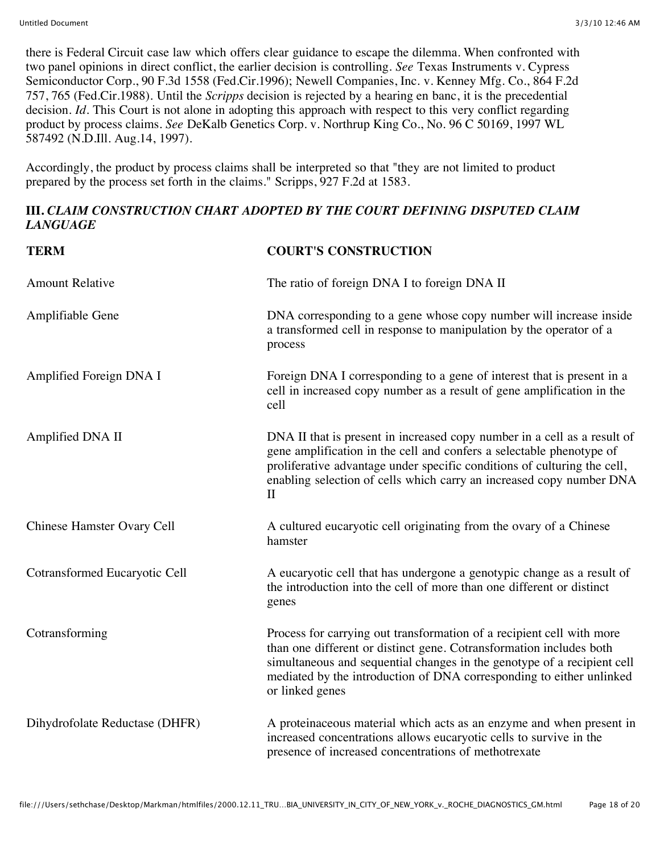there is Federal Circuit case law which offers clear guidance to escape the dilemma. When confronted with two panel opinions in direct conflict, the earlier decision is controlling. *See* Texas Instruments v. Cypress Semiconductor Corp., 90 F.3d 1558 (Fed.Cir.1996); Newell Companies, Inc. v. Kenney Mfg. Co., 864 F.2d 757, 765 (Fed.Cir.1988). Until the *Scripps* decision is rejected by a hearing en banc, it is the precedential decision. *Id*. This Court is not alone in adopting this approach with respect to this very conflict regarding product by process claims. *See* DeKalb Genetics Corp. v. Northrup King Co., No. 96 C 50169, 1997 WL 587492 (N.D.Ill. Aug.14, 1997).

Accordingly, the product by process claims shall be interpreted so that "they are not limited to product prepared by the process set forth in the claims." Scripps, 927 F.2d at 1583.

## **III.** *CLAIM CONSTRUCTION CHART ADOPTED BY THE COURT DEFINING DISPUTED CLAIM LANGUAGE*

| <b>TERM</b>                    | <b>COURT'S CONSTRUCTION</b>                                                                                                                                                                                                                                                                                          |
|--------------------------------|----------------------------------------------------------------------------------------------------------------------------------------------------------------------------------------------------------------------------------------------------------------------------------------------------------------------|
| <b>Amount Relative</b>         | The ratio of foreign DNA I to foreign DNA II                                                                                                                                                                                                                                                                         |
| Amplifiable Gene               | DNA corresponding to a gene whose copy number will increase inside<br>a transformed cell in response to manipulation by the operator of a<br>process                                                                                                                                                                 |
| Amplified Foreign DNA I        | Foreign DNA I corresponding to a gene of interest that is present in a<br>cell in increased copy number as a result of gene amplification in the<br>cell                                                                                                                                                             |
| Amplified DNA II               | DNA II that is present in increased copy number in a cell as a result of<br>gene amplification in the cell and confers a selectable phenotype of<br>proliferative advantage under specific conditions of culturing the cell,<br>enabling selection of cells which carry an increased copy number DNA<br>$\mathbf{I}$ |
| Chinese Hamster Ovary Cell     | A cultured eucaryotic cell originating from the ovary of a Chinese<br>hamster                                                                                                                                                                                                                                        |
| Cotransformed Eucaryotic Cell  | A eucaryotic cell that has undergone a genotypic change as a result of<br>the introduction into the cell of more than one different or distinct<br>genes                                                                                                                                                             |
| Cotransforming                 | Process for carrying out transformation of a recipient cell with more<br>than one different or distinct gene. Cotransformation includes both<br>simultaneous and sequential changes in the genotype of a recipient cell<br>mediated by the introduction of DNA corresponding to either unlinked<br>or linked genes   |
| Dihydrofolate Reductase (DHFR) | A proteinaceous material which acts as an enzyme and when present in<br>increased concentrations allows eucaryotic cells to survive in the<br>presence of increased concentrations of methotrexate                                                                                                                   |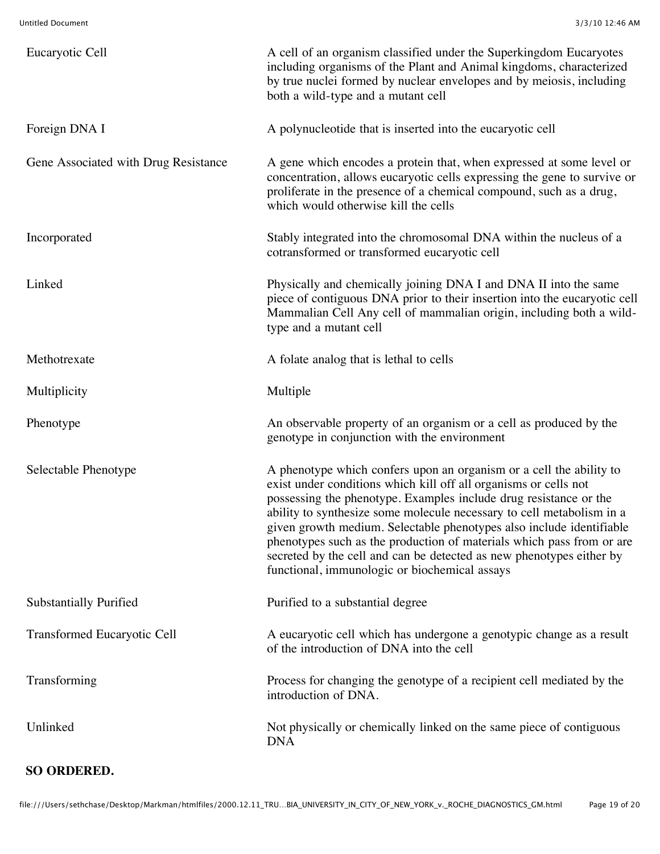| Eucaryotic Cell                      | A cell of an organism classified under the Superkingdom Eucaryotes<br>including organisms of the Plant and Animal kingdoms, characterized<br>by true nuclei formed by nuclear envelopes and by meiosis, including<br>both a wild-type and a mutant cell                                                                                                                                                                                                                                                                                                         |
|--------------------------------------|-----------------------------------------------------------------------------------------------------------------------------------------------------------------------------------------------------------------------------------------------------------------------------------------------------------------------------------------------------------------------------------------------------------------------------------------------------------------------------------------------------------------------------------------------------------------|
| Foreign DNA I                        | A polynucleotide that is inserted into the eucaryotic cell                                                                                                                                                                                                                                                                                                                                                                                                                                                                                                      |
| Gene Associated with Drug Resistance | A gene which encodes a protein that, when expressed at some level or<br>concentration, allows eucaryotic cells expressing the gene to survive or<br>proliferate in the presence of a chemical compound, such as a drug,<br>which would otherwise kill the cells                                                                                                                                                                                                                                                                                                 |
| Incorporated                         | Stably integrated into the chromosomal DNA within the nucleus of a<br>cotransformed or transformed eucaryotic cell                                                                                                                                                                                                                                                                                                                                                                                                                                              |
| Linked                               | Physically and chemically joining DNA I and DNA II into the same<br>piece of contiguous DNA prior to their insertion into the eucaryotic cell<br>Mammalian Cell Any cell of mammalian origin, including both a wild-<br>type and a mutant cell                                                                                                                                                                                                                                                                                                                  |
| Methotrexate                         | A folate analog that is lethal to cells                                                                                                                                                                                                                                                                                                                                                                                                                                                                                                                         |
| Multiplicity                         | Multiple                                                                                                                                                                                                                                                                                                                                                                                                                                                                                                                                                        |
| Phenotype                            | An observable property of an organism or a cell as produced by the<br>genotype in conjunction with the environment                                                                                                                                                                                                                                                                                                                                                                                                                                              |
| Selectable Phenotype                 | A phenotype which confers upon an organism or a cell the ability to<br>exist under conditions which kill off all organisms or cells not<br>possessing the phenotype. Examples include drug resistance or the<br>ability to synthesize some molecule necessary to cell metabolism in a<br>given growth medium. Selectable phenotypes also include identifiable<br>phenotypes such as the production of materials which pass from or are<br>secreted by the cell and can be detected as new phenotypes either by<br>functional, immunologic or biochemical assays |
| <b>Substantially Purified</b>        | Purified to a substantial degree                                                                                                                                                                                                                                                                                                                                                                                                                                                                                                                                |
| <b>Transformed Eucaryotic Cell</b>   | A eucaryotic cell which has undergone a genotypic change as a result<br>of the introduction of DNA into the cell                                                                                                                                                                                                                                                                                                                                                                                                                                                |
| Transforming                         | Process for changing the genotype of a recipient cell mediated by the<br>introduction of DNA.                                                                                                                                                                                                                                                                                                                                                                                                                                                                   |
| Unlinked                             | Not physically or chemically linked on the same piece of contiguous<br><b>DNA</b>                                                                                                                                                                                                                                                                                                                                                                                                                                                                               |

## **SO ORDERED.**